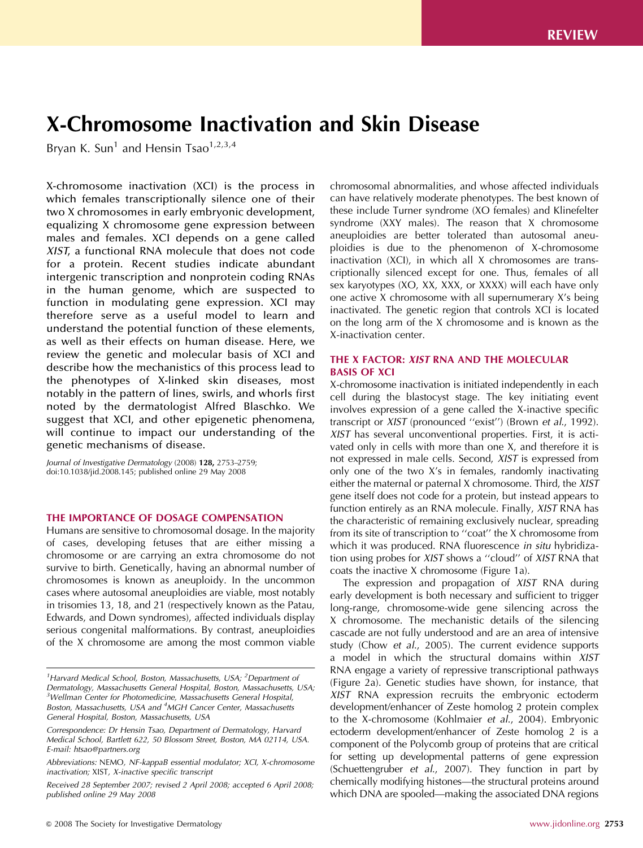# X-Chromosome Inactivation and Skin Disease

Bryan K. Sun<sup>1</sup> and Hensin Tsao<sup>1,2,3,4</sup>

X-chromosome inactivation (XCI) is the process in which females transcriptionally silence one of their two X chromosomes in early embryonic development, equalizing X chromosome gene expression between males and females. XCI depends on a gene called XIST, a functional RNA molecule that does not code for a protein. Recent studies indicate abundant intergenic transcription and nonprotein coding RNAs in the human genome, which are suspected to function in modulating gene expression. XCI may therefore serve as a useful model to learn and understand the potential function of these elements, as well as their effects on human disease. Here, we review the genetic and molecular basis of XCI and describe how the mechanistics of this process lead to the phenotypes of X-linked skin diseases, most notably in the pattern of lines, swirls, and whorls first noted by the dermatologist Alfred Blaschko. We suggest that XCI, and other epigenetic phenomena, will continue to impact our understanding of the genetic mechanisms of disease.

Journal of Investigative Dermatology (2008) 128, 2753–2759; doi[:10.1038/jid.2008.145;](http://dx.doi.org/10.1038/jid.2008.145) published online 29 May 2008

#### THE IMPORTANCE OF DOSAGE COMPENSATION

Humans are sensitive to chromosomal dosage. In the majority of cases, developing fetuses that are either missing a chromosome or are carrying an extra chromosome do not survive to birth. Genetically, having an abnormal number of chromosomes is known as aneuploidy. In the uncommon cases where autosomal aneuploidies are viable, most notably in trisomies 13, 18, and 21 (respectively known as the Patau, Edwards, and Down syndromes), affected individuals display serious congenital malformations. By contrast, aneuploidies of the X chromosome are among the most common viable chromosomal abnormalities, and whose affected individuals can have relatively moderate phenotypes. The best known of these include Turner syndrome (XO females) and Klinefelter syndrome (XXY males). The reason that X chromosome aneuploidies are better tolerated than autosomal aneuploidies is due to the phenomenon of X-chromosome inactivation (XCI), in which all X chromosomes are transcriptionally silenced except for one. Thus, females of all sex karyotypes (XO, XX, XXX, or XXXX) will each have only one active X chromosome with all supernumerary X's being inactivated. The genetic region that controls XCI is located on the long arm of the X chromosome and is known as the X-inactivation center.

## THE X FACTOR: XIST RNA AND THE MOLECULAR BASIS OF XCI

X-chromosome inactivation is initiated independently in each cell during the blastocyst stage. The key initiating event involves expression of a gene called the X-inactive specific transcript or *XIST* (pronounced "exist") (Brown et al[., 1992\)](#page-5-0). XIST has several unconventional properties. First, it is activated only in cells with more than one X, and therefore it is not expressed in male cells. Second, XIST is expressed from only one of the two X's in females, randomly inactivating either the maternal or paternal X chromosome. Third, the XIST gene itself does not code for a protein, but instead appears to function entirely as an RNA molecule. Finally, XIST RNA has the characteristic of remaining exclusively nuclear, spreading from its site of transcription to ''coat'' the X chromosome from which it was produced. RNA fluorescence in situ hybridization using probes for XIST shows a ''cloud'' of XIST RNA that coats the inactive X chromosome ([Figure 1a](#page-1-0)).

The expression and propagation of XIST RNA during early development is both necessary and sufficient to trigger long-range, chromosome-wide gene silencing across the X chromosome. The mechanistic details of the silencing cascade are not fully understood and are an area of intensive study (Chow et al[., 2005\)](#page-5-0). The current evidence supports a model in which the structural domains within XIST RNA engage a variety of repressive transcriptional pathways ([Figure 2a](#page-1-0)). Genetic studies have shown, for instance, that XIST RNA expression recruits the embryonic ectoderm development/enhancer of Zeste homolog 2 protein complex to the X-chromosome [\(Kohlmaier](#page-6-0) et al., 2004). Embryonic ectoderm development/enhancer of Zeste homolog 2 is a component of the Polycomb group of proteins that are critical for setting up developmental patterns of gene expression ([Schuettengruber](#page-6-0) et al., 2007). They function in part by chemically modifying histones—the structural proteins around which DNA are spooled—making the associated DNA regions

<sup>&</sup>lt;sup>1</sup> Harvard Medical School, Boston, Massachusetts, USA; <sup>2</sup> Department of Dermatology, Massachusetts General Hospital, Boston, Massachusetts, USA; <sup>3</sup>Wellman Center for Photomedicine, Massachusetts General Hospital, Boston, Massachusetts, USA and <sup>4</sup> MGH Cancer Center, Massachusetts General Hospital, Boston, Massachusetts, USA

Correspondence: Dr Hensin Tsao, Department of Dermatology, Harvard Medical School, Bartlett 622, 50 Blossom Street, Boston, MA 02114, USA. E-mail: [htsao@partners.org](mailto:htsao@partners.org)

Abbreviations: NEMO, NF-kappaB essential modulator; XCI, X-chromosome inactivation; XIST, X-inactive specific transcript

Received 28 September 2007; revised 2 April 2008; accepted 6 April 2008; published online 29 May 2008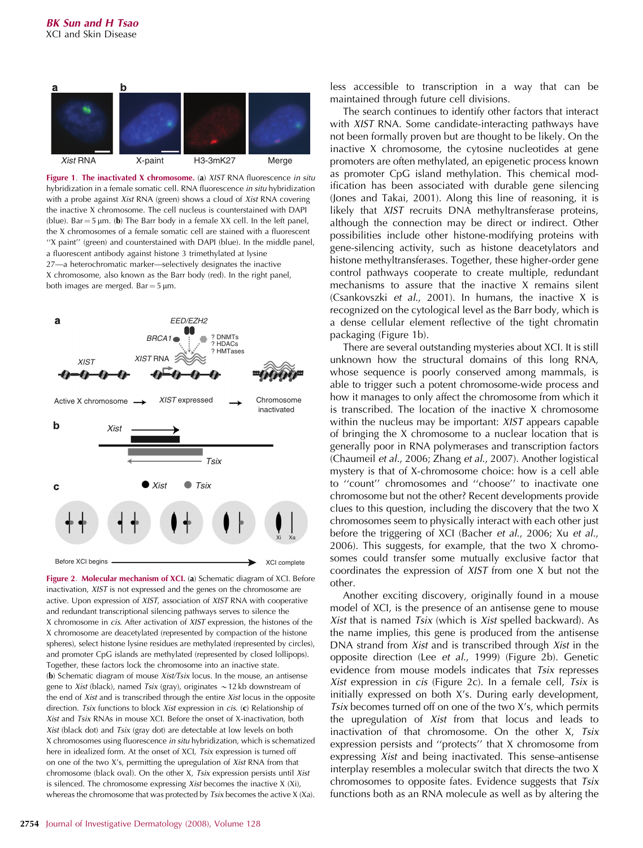<span id="page-1-0"></span>

Figure 1. The inactivated X chromosome. (a) XIST RNA fluorescence in situ hybridization in a female somatic cell. RNA fluorescence in situ hybridization with a probe against Xist RNA (green) shows a cloud of Xist RNA covering the inactive X chromosome. The cell nucleus is counterstained with DAPI (blue). Bar =  $5 \mu m$ . (b) The Barr body in a female XX cell. In the left panel, the X chromosomes of a female somatic cell are stained with a fluorescent "X paint" (green) and counterstained with DAPI (blue). In the middle panel, a fluorescent antibody against histone 3 trimethylated at lysine 27—a heterochromatic marker—selectively designates the inactive X chromosome, also known as the Barr body (red). In the right panel, both images are merged. Bar =  $5 \mu m$ .



Figure 2. Molecular mechanism of XCI. (a) Schematic diagram of XCI. Before inactivation, XIST is not expressed and the genes on the chromosome are active. Upon expression of XIST, association of XIST RNA with cooperative and redundant transcriptional silencing pathways serves to silence the X chromosome in cis. After activation of XIST expression, the histones of the X chromosome are deacetylated (represented by compaction of the histone spheres), select histone lysine residues are methylated (represented by circles), and promoter CpG islands are methylated (represented by closed lollipops). Together, these factors lock the chromosome into an inactive state. (b) Schematic diagram of mouse  $Xist/Tsix$  locus. In the mouse, an antisense gene to Xist (black), named Tsix (gray), originates  $\sim$  12 kb downstream of the end of Xist and is transcribed through the entire Xist locus in the opposite direction. Tsix functions to block Xist expression in cis. (c) Relationship of Xist and Tsix RNAs in mouse XCI. Before the onset of X-inactivation, both Xist (black dot) and  $Tsix$  (gray dot) are detectable at low levels on both X chromosomes using fluorescence in situ hybridization, which is schematized here in idealized form. At the onset of XCI, Tsix expression is turned off on one of the two X's, permitting the upregulation of Xist RNA from that chromosome (black oval). On the other X, Tsix expression persists until Xist is silenced. The chromosome expressing  $X$ ist becomes the inactive  $X$  (Xi), whereas the chromosome that was protected by Tsix becomes the active X (Xa).

less accessible to transcription in a way that can be maintained through future cell divisions.

The search continues to identify other factors that interact with *XIST* RNA. Some candidate-interacting pathways have not been formally proven but are thought to be likely. On the inactive X chromosome, the cytosine nucleotides at gene promoters are often methylated, an epigenetic process known as promoter CpG island methylation. This chemical modification has been associated with durable gene silencing ([Jones and Takai, 2001\)](#page-5-0). Along this line of reasoning, it is likely that XIST recruits DNA methyltransferase proteins, although the connection may be direct or indirect. Other possibilities include other histone-modifying proteins with gene-silencing activity, such as histone deacetylators and histone methyltransferases. Together, these higher-order gene control pathways cooperate to create multiple, redundant mechanisms to assure that the inactive X remains silent ([Csankovszki](#page-5-0) et al., 2001). In humans, the inactive X is recognized on the cytological level as the Barr body, which is a dense cellular element reflective of the tight chromatin packaging (Figure 1b).

There are several outstanding mysteries about XCI. It is still unknown how the structural domains of this long RNA, whose sequence is poorly conserved among mammals, is able to trigger such a potent chromosome-wide process and how it manages to only affect the chromosome from which it is transcribed. The location of the inactive X chromosome within the nucleus may be important: XIST appears capable of bringing the X chromosome to a nuclear location that is generally poor in RNA polymerases and transcription factors ([Chaumeil](#page-5-0) et al., 2006; Zhang et al[., 2007](#page-6-0)). Another logistical mystery is that of X-chromosome choice: how is a cell able to ''count'' chromosomes and ''choose'' to inactivate one chromosome but not the other? Recent developments provide clues to this question, including the discovery that the two X chromosomes seem to physically interact with each other just before the triggering of XCI (Bacher *[et al](#page-6-0).*, 2006; Xu *et al.*, [2006\)](#page-6-0). This suggests, for example, that the two X chromosomes could transfer some mutually exclusive factor that coordinates the expression of XIST from one X but not the other.

Another exciting discovery, originally found in a mouse model of XCI, is the presence of an antisense gene to mouse Xist that is named Tsix (which is Xist spelled backward). As the name implies, this gene is produced from the antisense DNA strand from Xist and is transcribed through Xist in the opposite direction (Lee et al[., 1999](#page-6-0)) (Figure 2b). Genetic evidence from mouse models indicates that Tsix represses Xist expression in  $cis$  (Figure 2c). In a female cell, Tsix is initially expressed on both X's. During early development, Tsix becomes turned off on one of the two X's, which permits the upregulation of Xist from that locus and leads to inactivation of that chromosome. On the other X, Tsix expression persists and ''protects'' that X chromosome from expressing Xist and being inactivated. This sense–antisense interplay resembles a molecular switch that directs the two X chromosomes to opposite fates. Evidence suggests that Tsix functions both as an RNA molecule as well as by altering the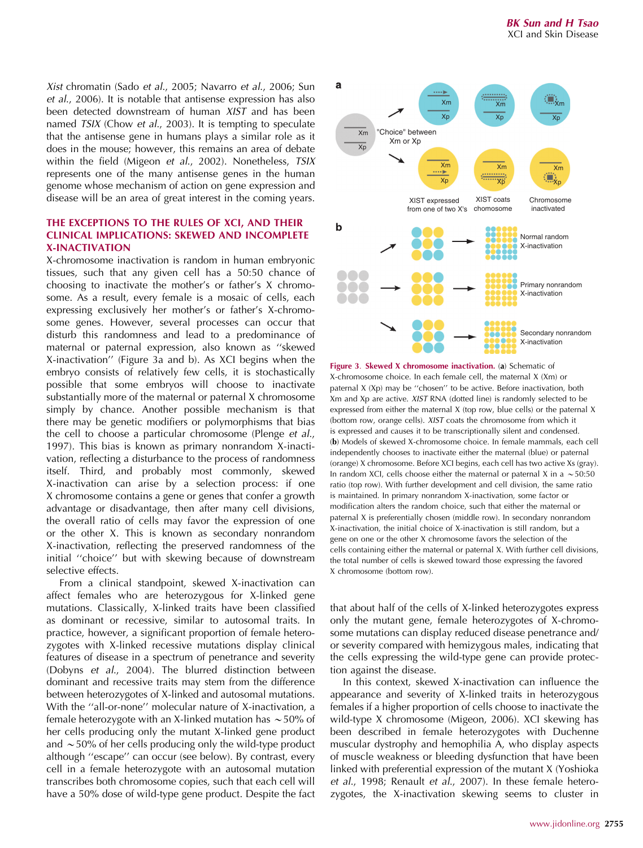Xist chromatin (Sado et al[., 2005; Navarro](#page-6-0) et al., 2006; [Sun](#page-6-0) et al[., 2006\)](#page-6-0). It is notable that antisense expression has also been detected downstream of human XIST and has been named TSIX (Chow et al[., 2003](#page-5-0)). It is tempting to speculate that the antisense gene in humans plays a similar role as it does in the mouse; however, this remains an area of debate within the field [\(Migeon](#page-6-0) et al., 2002). Nonetheless, TSIX represents one of the many antisense genes in the human genome whose mechanism of action on gene expression and disease will be an area of great interest in the coming years.

### THE EXCEPTIONS TO THE RULES OF XCI, AND THEIR CLINICAL IMPLICATIONS: SKEWED AND INCOMPLETE X-INACTIVATION

X-chromosome inactivation is random in human embryonic tissues, such that any given cell has a 50:50 chance of choosing to inactivate the mother's or father's X chromosome. As a result, every female is a mosaic of cells, each expressing exclusively her mother's or father's X-chromosome genes. However, several processes can occur that disturb this randomness and lead to a predominance of maternal or paternal expression, also known as ''skewed X-inactivation'' (Figure 3a and b). As XCI begins when the embryo consists of relatively few cells, it is stochastically possible that some embryos will choose to inactivate substantially more of the maternal or paternal X chromosome simply by chance. Another possible mechanism is that there may be genetic modifiers or polymorphisms that bias the cell to choose a particular chromosome [\(Plenge](#page-6-0) et al., [1997\)](#page-6-0). This bias is known as primary nonrandom X-inactivation, reflecting a disturbance to the process of randomness itself. Third, and probably most commonly, skewed X-inactivation can arise by a selection process: if one X chromosome contains a gene or genes that confer a growth advantage or disadvantage, then after many cell divisions, the overall ratio of cells may favor the expression of one or the other X. This is known as secondary nonrandom X-inactivation, reflecting the preserved randomness of the initial ''choice'' but with skewing because of downstream selective effects.

From a clinical standpoint, skewed X-inactivation can affect females who are heterozygous for X-linked gene mutations. Classically, X-linked traits have been classified as dominant or recessive, similar to autosomal traits. In practice, however, a significant proportion of female heterozygotes with X-linked recessive mutations display clinical features of disease in a spectrum of penetrance and severity (Dobyns et al[., 2004\)](#page-5-0). The blurred distinction between dominant and recessive traits may stem from the difference between heterozygotes of X-linked and autosomal mutations. With the ''all-or-none'' molecular nature of X-inactivation, a female heterozygote with an X-linked mutation has  $\sim$  50% of her cells producing only the mutant X-linked gene product and  $\sim$  50% of her cells producing only the wild-type product although ''escape'' can occur (see below). By contrast, every cell in a female heterozygote with an autosomal mutation transcribes both chromosome copies, such that each cell will have a 50% dose of wild-type gene product. Despite the fact



Figure 3. Skewed X chromosome inactivation. (a) Schematic of X-chromosome choice. In each female cell, the maternal X (Xm) or paternal X (Xp) may be ''chosen'' to be active. Before inactivation, both Xm and Xp are active. XIST RNA (dotted line) is randomly selected to be expressed from either the maternal X (top row, blue cells) or the paternal X (bottom row, orange cells). XIST coats the chromosome from which it is expressed and causes it to be transcriptionally silent and condensed. (b) Models of skewed X-chromosome choice. In female mammals, each cell independently chooses to inactivate either the maternal (blue) or paternal (orange) X chromosome. Before XCI begins, each cell has two active Xs (gray). In random XCI, cells choose either the maternal or paternal X in a  $\sim$  50:50 ratio (top row). With further development and cell division, the same ratio is maintained. In primary nonrandom X-inactivation, some factor or modification alters the random choice, such that either the maternal or paternal X is preferentially chosen (middle row). In secondary nonrandom X-inactivation, the initial choice of X-inactivation is still random, but a gene on one or the other X chromosome favors the selection of the cells containing either the maternal or paternal X. With further cell divisions, the total number of cells is skewed toward those expressing the favored X chromosome (bottom row).

that about half of the cells of X-linked heterozygotes express only the mutant gene, female heterozygotes of X-chromosome mutations can display reduced disease penetrance and/ or severity compared with hemizygous males, indicating that the cells expressing the wild-type gene can provide protection against the disease.

In this context, skewed X-inactivation can influence the appearance and severity of X-linked traits in heterozygous females if a higher proportion of cells choose to inactivate the wild-type X chromosome [\(Migeon, 2006\)](#page-6-0). XCI skewing has been described in female heterozygotes with Duchenne muscular dystrophy and hemophilia A, who display aspects of muscle weakness or bleeding dysfunction that have been linked with preferential expression of the mutant X ([Yoshioka](#page-6-0) et al[., 1998](#page-6-0); [Renault](#page-6-0) et al., 2007). In these female heterozygotes, the X-inactivation skewing seems to cluster in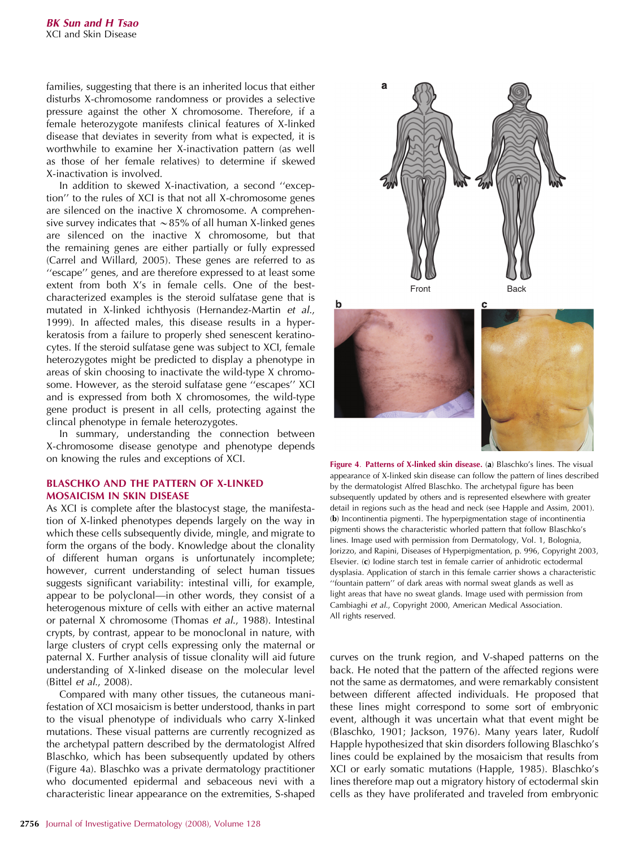<span id="page-3-0"></span>families, suggesting that there is an inherited locus that either disturbs X-chromosome randomness or provides a selective pressure against the other X chromosome. Therefore, if a female heterozygote manifests clinical features of X-linked disease that deviates in severity from what is expected, it is worthwhile to examine her X-inactivation pattern (as well as those of her female relatives) to determine if skewed X-inactivation is involved.

In addition to skewed X-inactivation, a second ''exception'' to the rules of XCI is that not all X-chromosome genes are silenced on the inactive X chromosome. A comprehensive survey indicates that  $\sim$  85% of all human X-linked genes are silenced on the inactive X chromosome, but that the remaining genes are either partially or fully expressed ([Carrel and Willard, 2005\)](#page-5-0). These genes are referred to as "escape" genes, and are therefore expressed to at least some extent from both X's in female cells. One of the bestcharacterized examples is the steroid sulfatase gene that is mutated in X-linked ichthyosis [\(Hernandez-Martin](#page-5-0) et al., [1999\)](#page-5-0). In affected males, this disease results in a hyperkeratosis from a failure to properly shed senescent keratinocytes. If the steroid sulfatase gene was subject to XCI, female heterozygotes might be predicted to display a phenotype in areas of skin choosing to inactivate the wild-type X chromosome. However, as the steroid sulfatase gene ''escapes'' XCI and is expressed from both X chromosomes, the wild-type gene product is present in all cells, protecting against the clincal phenotype in female heterozygotes.

In summary, understanding the connection between X-chromosome disease genotype and phenotype depends on knowing the rules and exceptions of XCI.

### BLASCHKO AND THE PATTERN OF X-LINKED MOSAICISM IN SKIN DISEASE

As XCI is complete after the blastocyst stage, the manifestation of X-linked phenotypes depends largely on the way in which these cells subsequently divide, mingle, and migrate to form the organs of the body. Knowledge about the clonality of different human organs is unfortunately incomplete; however, current understanding of select human tissues suggests significant variability: intestinal villi, for example, appear to be polyclonal—in other words, they consist of a heterogenous mixture of cells with either an active maternal or paternal X chromosome ([Thomas](#page-6-0) et al., 1988). Intestinal crypts, by contrast, appear to be monoclonal in nature, with large clusters of crypt cells expressing only the maternal or paternal X. Further analysis of tissue clonality will aid future understanding of X-linked disease on the molecular level (Bittel et al[., 2008](#page-5-0)).

Compared with many other tissues, the cutaneous manifestation of XCI mosaicism is better understood, thanks in part to the visual phenotype of individuals who carry X-linked mutations. These visual patterns are currently recognized as the archetypal pattern described by the dermatologist Alfred Blaschko, which has been subsequently updated by others (Figure 4a). Blaschko was a private dermatology practitioner who documented epidermal and sebaceous nevi with a characteristic linear appearance on the extremities, S-shaped





Figure 4. Patterns of X-linked skin disease. (a) Blaschko's lines. The visual appearance of X-linked skin disease can follow the pattern of lines described by the dermatologist Alfred Blaschko. The archetypal figure has been subsequently updated by others and is represented elsewhere with greater detail in regions such as the head and neck (see [Happle and Assim, 2001](#page-5-0)). (b) Incontinentia pigmenti. The hyperpigmentation stage of incontinentia pigmenti shows the characteristic whorled pattern that follow Blaschko's lines. Image used with permission from Dermatology, Vol. 1, Bolognia, Jorizzo, and Rapini, Diseases of Hyperpigmentation, p. 996, Copyright 2003, Elsevier. (c) Iodine starch test in female carrier of anhidrotic ectodermal dysplasia. Application of starch in this female carrier shows a characteristic ''fountain pattern'' of dark areas with normal sweat glands as well as light areas that have no sweat glands. Image used with permission from [Cambiaghi](#page-5-0) et al., Copyright 2000, American Medical Association. All rights reserved.

curves on the trunk region, and V-shaped patterns on the back. He noted that the pattern of the affected regions were not the same as dermatomes, and were remarkably consistent between different affected individuals. He proposed that these lines might correspond to some sort of embryonic event, although it was uncertain what that event might be ([Blaschko, 1901](#page-5-0); [Jackson, 1976](#page-5-0)). Many years later, Rudolf Happle hypothesized that skin disorders following Blaschko's lines could be explained by the mosaicism that results from XCI or early somatic mutations ([Happle, 1985\)](#page-5-0). Blaschko's lines therefore map out a migratory history of ectodermal skin cells as they have proliferated and traveled from embryonic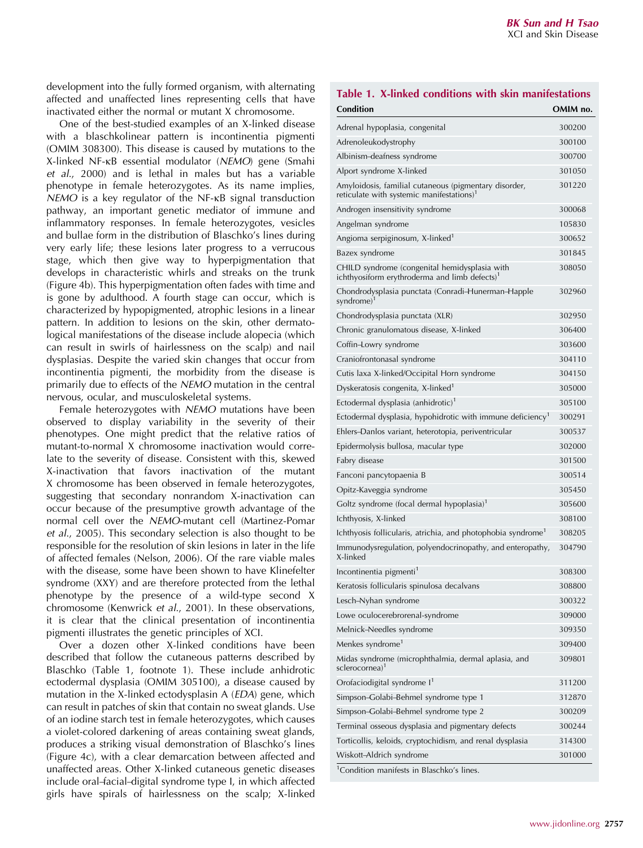<span id="page-4-0"></span>development into the fully formed organism, with alternating affected and unaffected lines representing cells that have inactivated either the normal or mutant X chromosome.

One of the best-studied examples of an X-linked disease with a blaschkolinear pattern is incontinentia pigmenti (OMIM 308300). This disease is caused by mutations to the X-linked NF-kB essential modulator (NEMO) gene ([Smahi](#page-6-0) et al[., 2000\)](#page-6-0) and is lethal in males but has a variable phenotype in female heterozygotes. As its name implies,  $NEMO$  is a key regulator of the NF- $\kappa$ B signal transduction pathway, an important genetic mediator of immune and inflammatory responses. In female heterozygotes, vesicles and bullae form in the distribution of Blaschko's lines during very early life; these lesions later progress to a verrucous stage, which then give way to hyperpigmentation that develops in characteristic whirls and streaks on the trunk ([Figure 4b\)](#page-3-0). This hyperpigmentation often fades with time and is gone by adulthood. A fourth stage can occur, which is characterized by hypopigmented, atrophic lesions in a linear pattern. In addition to lesions on the skin, other dermatological manifestations of the disease include alopecia (which can result in swirls of hairlessness on the scalp) and nail dysplasias. Despite the varied skin changes that occur from incontinentia pigmenti, the morbidity from the disease is primarily due to effects of the NEMO mutation in the central nervous, ocular, and musculoskeletal systems.

Female heterozygotes with NEMO mutations have been observed to display variability in the severity of their phenotypes. One might predict that the relative ratios of mutant-to-normal X chromosome inactivation would correlate to the severity of disease. Consistent with this, skewed X-inactivation that favors inactivation of the mutant X chromosome has been observed in female heterozygotes, suggesting that secondary nonrandom X-inactivation can occur because of the presumptive growth advantage of the normal cell over the NEMO-mutant cell [\(Martinez-Pomar](#page-6-0) et al[., 2005](#page-6-0)). This secondary selection is also thought to be responsible for the resolution of skin lesions in later in the life of affected females [\(Nelson, 2006\)](#page-6-0). Of the rare viable males with the disease, some have been shown to have Klinefelter syndrome (XXY) and are therefore protected from the lethal phenotype by the presence of a wild-type second  $X$ chromosome [\(Kenwrick](#page-5-0) et al., 2001). In these observations, it is clear that the clinical presentation of incontinentia pigmenti illustrates the genetic principles of XCI.

Over a dozen other X-linked conditions have been described that follow the cutaneous patterns described by Blaschko (Table 1, footnote 1). These include anhidrotic ectodermal dysplasia (OMIM 305100), a disease caused by mutation in the X-linked ectodysplasin A (EDA) gene, which can result in patches of skin that contain no sweat glands. Use of an iodine starch test in female heterozygotes, which causes a violet-colored darkening of areas containing sweat glands, produces a striking visual demonstration of Blaschko's lines ([Figure 4c](#page-3-0)), with a clear demarcation between affected and unaffected areas. Other X-linked cutaneous genetic diseases include oral–facial–digital syndrome type I, in which affected girls have spirals of hairlessness on the scalp; X-linked

# Table 1. X-linked conditions with skin manifestations

| Condition                                                                                                      | OMIM no. |
|----------------------------------------------------------------------------------------------------------------|----------|
| Adrenal hypoplasia, congenital                                                                                 | 300200   |
| Adrenoleukodystrophy                                                                                           | 300100   |
| Albinism-deafness syndrome                                                                                     | 300700   |
| Alport syndrome X-linked                                                                                       | 301050   |
| Amyloidosis, familial cutaneous (pigmentary disorder,<br>reticulate with systemic manifestations) <sup>1</sup> | 301220   |
| Androgen insensitivity syndrome                                                                                | 300068   |
| Angelman syndrome                                                                                              | 105830   |
| Angioma serpiginosum, X-linked'                                                                                | 300652   |
| Bazex syndrome                                                                                                 | 301845   |
| CHILD syndrome (congenital hemidysplasia with<br>ichthyosiform erythroderma and limb defects) <sup>1</sup>     | 308050   |
| Chondrodysplasia punctata (Conradi-Hunerman-Happle<br>syndrome)'                                               | 302960   |
| Chondrodysplasia punctata (XLR)                                                                                | 302950   |
| Chronic granulomatous disease, X-linked                                                                        | 306400   |
| Coffin-Lowry syndrome                                                                                          | 303600   |
| Craniofrontonasal syndrome                                                                                     | 304110   |
| Cutis laxa X-linked/Occipital Horn syndrome                                                                    | 304150   |
| Dyskeratosis congenita, X-linked <sup>1</sup>                                                                  | 305000   |
| Ectodermal dysplasia (anhidrotic) <sup>1</sup>                                                                 | 305100   |
| Ectodermal dysplasia, hypohidrotic with immune deficiency <sup>1</sup>                                         | 300291   |
| Ehlers-Danlos variant, heterotopia, periventricular                                                            | 300537   |
| Epidermolysis bullosa, macular type                                                                            | 302000   |
| Fabry disease                                                                                                  | 301500   |
| Fanconi pancytopaenia B                                                                                        | 300514   |
| Opitz-Kaveggia syndrome                                                                                        | 305450   |
| Goltz syndrome (focal dermal hypoplasia) <sup>1</sup>                                                          | 305600   |
| Ichthyosis, X-linked                                                                                           | 308100   |
| Ichthyosis follicularis, atrichia, and photophobia syndrome                                                    | 308205   |
| Immunodysregulation, polyendocrinopathy, and enteropathy,<br>X-linked                                          | 304790   |
| Incontinentia pigmenti                                                                                         | 308300   |
| Keratosis follicularis spinulosa decalvans                                                                     | 308800   |
| Lesch-Nyhan syndrome                                                                                           | 300322   |
| Lowe oculocerebrorenal-syndrome                                                                                | 309000   |
| Melnick-Needles syndrome                                                                                       | 309350   |
| Menkes syndrome <sup>1</sup>                                                                                   | 309400   |
| Midas syndrome (microphthalmia, dermal aplasia, and sclerocornea) <sup>1</sup>                                 | 309801   |
| Orofaciodigital syndrome I <sup>1</sup>                                                                        | 311200   |
| Simpson-Golabi-Behmel syndrome type 1                                                                          | 312870   |
| Simpson-Golabi-Behmel syndrome type 2                                                                          | 300209   |
| Terminal osseous dysplasia and pigmentary defects                                                              | 300244   |
| Torticollis, keloids, cryptochidism, and renal dysplasia                                                       | 314300   |
| Wiskott-Aldrich syndrome                                                                                       | 301000   |
| <sup>1</sup> Condition manifests in Blaschko's lines.                                                          |          |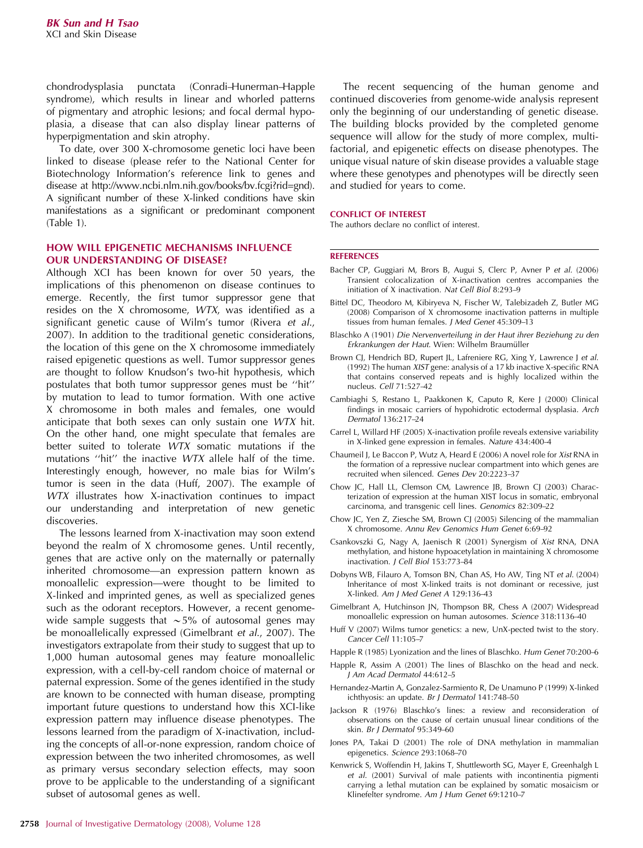<span id="page-5-0"></span>chondrodysplasia punctata (Conradi–Hunerman–Happle syndrome), which results in linear and whorled patterns of pigmentary and atrophic lesions; and focal dermal hypoplasia, a disease that can also display linear patterns of hyperpigmentation and skin atrophy.

To date, over 300 X-chromosome genetic loci have been linked to disease (please refer to the National Center for Biotechnology Information's reference link to genes and disease at [http://www.ncbi.nlm.nih.gov/books/bv.fcgi?rid=gnd\)](http://www.ncbi.nlm.nih.gov/books/bv.fcgi?rid=gnd). A significant number of these X-linked conditions have skin manifestations as a significant or predominant component [\(Table 1](#page-4-0)).

#### HOW WILL EPIGENETIC MECHANISMS INFLUENCE OUR UNDERSTANDING OF DISEASE?

Although XCI has been known for over 50 years, the implications of this phenomenon on disease continues to emerge. Recently, the first tumor suppressor gene that resides on the X chromosome,  $WTX$ , was identified as a significant genetic cause of Wilm's tumor ([Rivera](#page-6-0) et al., [2007\)](#page-6-0). In addition to the traditional genetic considerations, the location of this gene on the X chromosome immediately raised epigenetic questions as well. Tumor suppressor genes are thought to follow Knudson's two-hit hypothesis, which postulates that both tumor suppressor genes must be ''hit'' by mutation to lead to tumor formation. With one active X chromosome in both males and females, one would anticipate that both sexes can only sustain one WTX hit. On the other hand, one might speculate that females are better suited to tolerate WTX somatic mutations if the mutations "hit" the inactive  $WTX$  allele half of the time. Interestingly enough, however, no male bias for Wilm's tumor is seen in the data (Huff, 2007). The example of WTX illustrates how X-inactivation continues to impact our understanding and interpretation of new genetic discoveries.

The lessons learned from X-inactivation may soon extend beyond the realm of X chromosome genes. Until recently, genes that are active only on the maternally or paternally inherited chromosome—an expression pattern known as monoallelic expression—were thought to be limited to X-linked and imprinted genes, as well as specialized genes such as the odorant receptors. However, a recent genomewide sample suggests that  $\sim$  5% of autosomal genes may be monoallelically expressed (Gimelbrant et al., 2007). The investigators extrapolate from their study to suggest that up to 1,000 human autosomal genes may feature monoallelic expression, with a cell-by-cell random choice of maternal or paternal expression. Some of the genes identified in the study are known to be connected with human disease, prompting important future questions to understand how this XCI-like expression pattern may influence disease phenotypes. The lessons learned from the paradigm of X-inactivation, including the concepts of all-or-none expression, random choice of expression between the two inherited chromosomes, as well as primary versus secondary selection effects, may soon prove to be applicable to the understanding of a significant subset of autosomal genes as well.

The recent sequencing of the human genome and continued discoveries from genome-wide analysis represent only the beginning of our understanding of genetic disease. The building blocks provided by the completed genome sequence will allow for the study of more complex, multifactorial, and epigenetic effects on disease phenotypes. The unique visual nature of skin disease provides a valuable stage where these genotypes and phenotypes will be directly seen and studied for years to come.

#### CONFLICT OF INTEREST

The authors declare no conflict of interest.

#### **REFERENCES**

- Bacher CP, Guggiari M, Brors B, Augui S, Clerc P, Avner P et al. (2006) Transient colocalization of X-inactivation centres accompanies the initiation of X inactivation. Nat Cell Biol 8:293–9
- Bittel DC, Theodoro M, Kibiryeva N, Fischer W, Talebizadeh Z, Butler MG (2008) Comparison of X chromosome inactivation patterns in multiple tissues from human females. J Med Genet 45:309–13
- Blaschko A (1901) Die Nervenverteilung in der Haut ihrer Beziehung zu den Erkrankungen der Haut. Wien: Wilhelm Braumüller
- Brown CJ, Hendrich BD, Rupert JL, Lafreniere RG, Xing Y, Lawrence J et al. (1992) The human XIST gene: analysis of a 17 kb inactive X-specific RNA that contains conserved repeats and is highly localized within the nucleus. Cell 71:527–42
- Cambiaghi S, Restano L, Paakkonen K, Caputo R, Kere J (2000) Clinical findings in mosaic carriers of hypohidrotic ectodermal dysplasia. Arch Dermatol 136:217–24
- Carrel L, Willard HF (2005) X-inactivation profile reveals extensive variability in X-linked gene expression in females. Nature 434:400–4
- Chaumeil J, Le Baccon P, Wutz A, Heard E (2006) A novel role for Xist RNA in the formation of a repressive nuclear compartment into which genes are recruited when silenced. Genes Dev 20:2223–37
- Chow JC, Hall LL, Clemson CM, Lawrence JB, Brown CJ (2003) Characterization of expression at the human XIST locus in somatic, embryonal carcinoma, and transgenic cell lines. Genomics 82:309–22
- Chow JC, Yen Z, Ziesche SM, Brown CJ (2005) Silencing of the mammalian X chromosome. Annu Rev Genomics Hum Genet 6:69–92
- Csankovszki G, Nagy A, Jaenisch R (2001) Synergism of Xist RNA, DNA methylation, and histone hypoacetylation in maintaining X chromosome inactivation. J Cell Biol 153:773–84
- Dobyns WB, Filauro A, Tomson BN, Chan AS, Ho AW, Ting NT et al. (2004) Inheritance of most X-linked traits is not dominant or recessive, just X-linked. Am J Med Genet A 129:136–43
- Gimelbrant A, Hutchinson JN, Thompson BR, Chess A (2007) Widespread monoallelic expression on human autosomes. Science 318:1136–40
- Huff V (2007) Wilms tumor genetics: a new, UnX-pected twist to the story. Cancer Cell 11:105–7
- Happle R (1985) Lyonization and the lines of Blaschko. Hum Genet 70:200–6
- Happle R, Assim A (2001) The lines of Blaschko on the head and neck. J Am Acad Dermatol 44:612–5
- Hernandez-Martin A, Gonzalez-Sarmiento R, De Unamuno P (1999) X-linked ichthyosis: an update. Br J Dermatol 141:748–50
- Jackson R (1976) Blaschko's lines: a review and reconsideration of observations on the cause of certain unusual linear conditions of the skin. Br J Dermatol 95:349–60
- Jones PA, Takai D (2001) The role of DNA methylation in mammalian epigenetics. Science 293:1068–70
- Kenwrick S, Woffendin H, Jakins T, Shuttleworth SG, Mayer E, Greenhalgh L et al. (2001) Survival of male patients with incontinentia pigmenti carrying a lethal mutation can be explained by somatic mosaicism or Klinefelter syndrome. Am J Hum Genet 69:1210–7